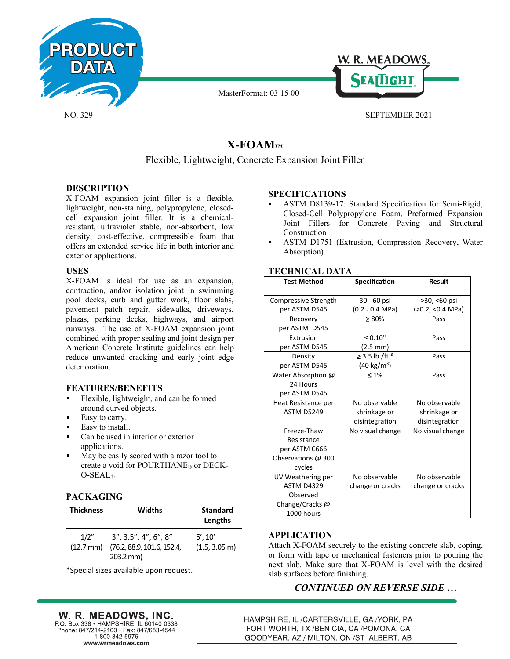

NO. 329

MasterFormat: 03 15 00



SEPTEMBER 2021

# **X-FOAM™**

# Flexible, Lightweight, Concrete Expansion Joint Filler

# **DESCRIPTION**

X-FOAM expansion joint filler is a flexible, lightweight, non-staining, polypropylene, closedcell expansion joint filler. It is a chemicalresistant, ultraviolet stable, non-absorbent, low density, cost-effective, compressible foam that offers an extended service life in both interior and exterior applications.

# **USES**

X-FOAM is ideal for use as an expansion, contraction, and/or isolation joint in swimming pool decks, curb and gutter work, floor slabs, pavement patch repair, sidewalks, driveways, plazas, parking decks, highways, and airport runways. The use of X-FOAM expansion joint combined with proper sealing and joint design per American Concrete Institute guidelines can help reduce unwanted cracking and early joint edge deterioration.

# **FEATURES/BENEFITS**

- Flexible, lightweight, and can be formed around curved objects.
- Easy to carry.
- Easy to install.
- Can be used in interior or exterior applications.
- May be easily scored with a razor tool to  $\blacksquare$ create a void for POURTHANE® or DECK-O-SEAL®

# **PACKAGING**

| <b>Thickness</b>            | Widths                                                               | <b>Standard</b><br>Lengths         |
|-----------------------------|----------------------------------------------------------------------|------------------------------------|
| 1/2"<br>$(12.7 \text{ mm})$ | 3'', 3.5'', 4'', 6'', 8''<br>(76.2, 88.9, 101.6, 152.4,<br>203.2 mm) | 5', 10'<br>$(1.5, 3.05 \text{ m})$ |

\*Special sizes available upon request.

# **SPECIFICATIONS**

- ASTM D8139-17: Standard Specification for Semi-Rigid, Closed-Cell Polypropylene Foam, Preformed Expansion Joint Fillers for Concrete Paving and Structural Construction
- $\blacksquare$ ASTM D1751 (Extrusion, Compression Recovery, Water Absorption)

| AINIVAL PATA         |                            |                  |  |  |
|----------------------|----------------------------|------------------|--|--|
| <b>Test Method</b>   | Specification              | <b>Result</b>    |  |  |
| Compressive Strength | 30 - 60 psi                | $>30, < 60$ psi  |  |  |
| per ASTM D545        | (0.2 - 0.4 MPa)            | (>0.2, <0.4 MPa) |  |  |
| Recovery             | $\geq 80\%$                | Pass             |  |  |
| per ASTM D545        |                            |                  |  |  |
| Extrusion            | $\leq 0.10"$               | Pass             |  |  |
| per ASTM D545        | $(2.5 \text{ mm})$         |                  |  |  |
| Density              | ≥ 3.5 lb./ft. <sup>3</sup> | Pass             |  |  |
| per ASTM D545        | (40 kg/m <sup>3</sup> )    |                  |  |  |
| Water Absorption @   | $\leq 1\%$                 | Pass             |  |  |
| 24 Hours             |                            |                  |  |  |
| per ASTM D545        |                            |                  |  |  |
| Heat Resistance per  | No observable              | No observable    |  |  |
| <b>ASTM D5249</b>    | shrinkage or               | shrinkage or     |  |  |
|                      | disintegration             | disintegration   |  |  |
| Freeze-Thaw          | No visual change           | No visual change |  |  |
| Resistance           |                            |                  |  |  |
| per ASTM C666        |                            |                  |  |  |
| Observations @ 300   |                            |                  |  |  |
| cycles               |                            |                  |  |  |
| UV Weathering per    | No observable              | No observable    |  |  |
| <b>ASTM D4329</b>    | change or cracks           | change or cracks |  |  |
| Observed             |                            |                  |  |  |
| Change/Cracks@       |                            |                  |  |  |
| 1000 hours           |                            |                  |  |  |

# **TECHNICAL DATA**

# **APPLICATION**

Attach X-FOAM securely to the existing concrete slab, coping, or form with tape or mechanical fasteners prior to pouring the next slab. Make sure that X-FOAM is level with the desired slab surfaces before finishing.

# *CONTINUED ON REVERSE SIDE …*

W. R. MEADOWS, INC. P.O. Box 338 • HAMPSHIRE, IL 60140-0338 Phone: 847/214-2100 · Fax: 847/683-4544 1-800-342-5976 www.wrmeadows.com

HAMPSHIRE, IL /CARTERSVILLE, GA /YORK, PA FORT WORTH, TX /BENICIA, CA /POMONA, CA GOODYEAR, AZ / MILTON, ON /ST. ALBERT, AB